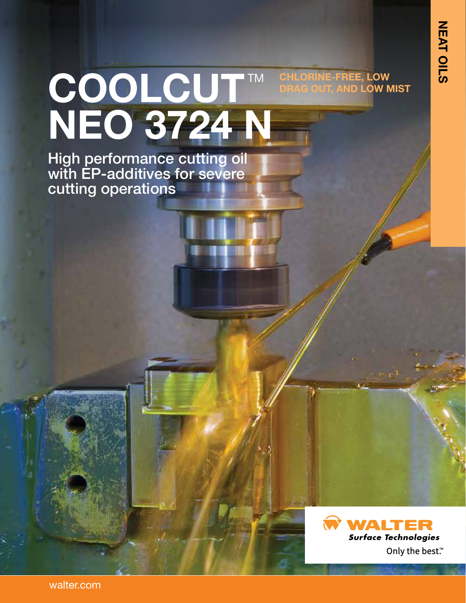# COOLCUT™ **NEO 3724 N CHLORINE-FREE, LOW AND LOW MIST**

High performance cutting oil with EP-additives for severe cutting operations